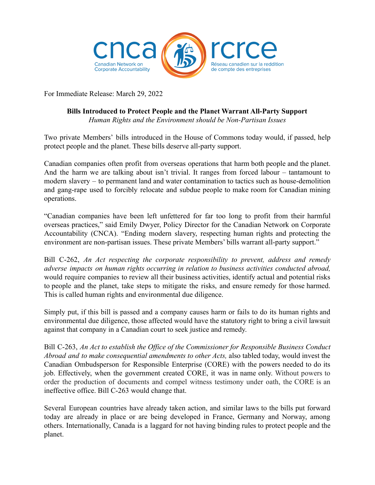

For Immediate Release: March 29, 2022

## **Bills Introduced to Protect People and the Planet Warrant All-Party Support** *Human Rights and the Environment should be Non-Partisan Issues*

Two private Members' bills introduced in the House of Commons today would, if passed, help protect people and the planet. These bills deserve all-party support.

Canadian companies often profit from overseas operations that harm both people and the planet. And the harm we are talking about isn't trivial. It ranges from forced labour – tantamount to modern slavery – to permanent land and water contamination to tactics such as house-demolition and gang-rape used to forcibly relocate and subdue people to make room for Canadian mining operations.

"Canadian companies have been left unfettered for far too long to profit from their harmful overseas practices," said Emily Dwyer, Policy Director for the Canadian Network on Corporate Accountability (CNCA). "Ending modern slavery, respecting human rights and protecting the environment are non-partisan issues. These private Members' bills warrant all-party support."

Bill C-262, *An Act respecting the corporate responsibility to prevent, address and remedy adverse impacts on human rights occurring in relation to business activities conducted abroad,* would require companies to review all their business activities, identify actual and potential risks to people and the planet, take steps to mitigate the risks, and ensure remedy for those harmed. This is called human rights and environmental due diligence.

Simply put, if this bill is passed and a company causes harm or fails to do its human rights and environmental due diligence, those affected would have the statutory right to bring a civil lawsuit against that company in a Canadian court to seek justice and remedy.

Bill C-263, *An Act to establish the Office of the Commissioner for Responsible Business Conduct Abroad and to make consequential amendments to other Acts,* also tabled today, would invest the Canadian Ombudsperson for Responsible Enterprise (CORE) with the powers needed to do its job. Effectively, when the government created CORE, it was in name only. Without powers to order the production of documents and compel witness testimony under oath, the CORE is an ineffective office. Bill C-263 would change that.

Several European countries have already taken action, and similar laws to the bills put forward today are already in place or are being developed in France, Germany and Norway, among others. Internationally, Canada is a laggard for not having binding rules to protect people and the planet.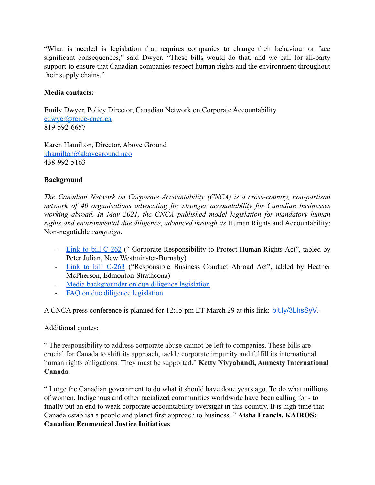"What is needed is legislation that requires companies to change their behaviour or face significant consequences," said Dwyer. "These bills would do that, and we call for all-party support to ensure that Canadian companies respect human rights and the environment throughout their supply chains."

## **Media contacts:**

Emily Dwyer, Policy Director, Canadian Network on Corporate Accountability [edwyer@rcrce-cnca.ca](mailto:edwyer@rcrce-cnca.ca) 819-592-6657

Karen Hamilton, Director, Above Ground [khamilton@aboveground.ngo](http://khamilton@aboveground.ngo) 438-992-5163

## **Background**

*The Canadian Network on Corporate Accountability (CNCA) is a cross-country, non-partisan network of 40 organisations advocating for stronger accountability for Canadian businesses working abroad. In May 2021, the CNCA published model legislation for mandatory human rights and environmental due diligence, advanced through its* Human Rights and Accountability: Non-negotiable *campaign*.

- Link to bill [C-262](https://www.parl.ca/legisinfo/en/bill/44-1/c-262) (" Corporate Responsibility to Protect Human Rights Act", tabled by Peter Julian, New Westminster-Burnaby)
- Link to bill [C-263](https://www.parl.ca/legisinfo/en/bill/44-1/c-263) ("Responsible Business Conduct Abroad Act", tabled by Heather McPherson, Edmonton-Strathcona)
- [Media backgrounder on due diligence legislation](https://drive.google.com/file/d/19DjUPymEBoNWbY1AC67hBLrB_hWrHYYS/view?usp=sharing)
- [FAQ on due diligence legislation](https://drive.google.com/file/d/1hWC2_mMvS4YVbY7-F_jjz4dOxvwpR1Gq/view?usp=sharing)

A CNCA press conference is planned for 12:15 pm ET March 29 at this link: [bit.ly/3LhsSyV](https://bit.ly/3LhsSyV?fbclid=IwAR2CKrS1xRrz61sLw2_jPruM_-0GkUsVWKs8mUe2nrZYUB5VemVd5HTZiGM).

## Additional quotes:

" The responsibility to address corporate abuse cannot be left to companies. These bills are crucial for Canada to shift its approach, tackle corporate impunity and fulfill its international human rights obligations. They must be supported." **Ketty Nivyabandi, Amnesty International Canada**

" I urge the Canadian government to do what it should have done years ago. To do what millions of women, Indigenous and other racialized communities worldwide have been calling for - to finally put an end to weak corporate accountability oversight in this country. It is high time that Canada establish a people and planet first approach to business. " **Aisha Francis, KAIROS: Canadian Ecumenical Justice Initiatives**